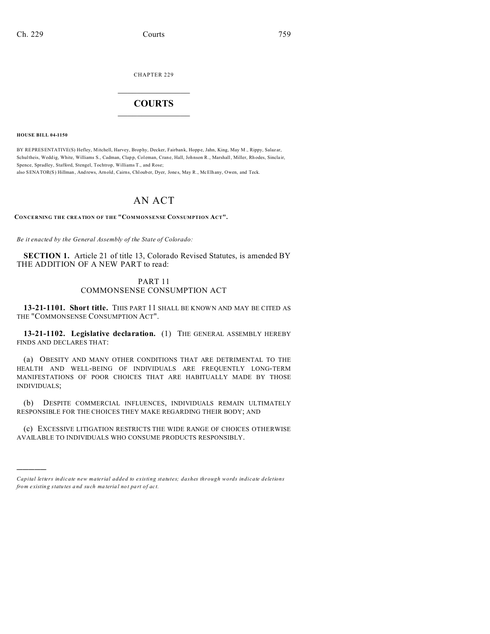CHAPTER 229  $\overline{\phantom{a}}$  , where  $\overline{\phantom{a}}$ 

## **COURTS**  $\_$

**HOUSE BILL 04-1150**

)))))

BY REPRESENTATIVE(S) Hefley, Mitchell, Harvey, Brophy, Decker, Fairbank, Hoppe, Jahn, King, May M., Rippy, Salaz ar, Schultheis, Weddig, White, Williams S., Cadman, Clapp, Coleman, Crane, Hall, Johnson R., Marshall, Miller, Rhodes, Sinclair, Spence, Spradley, Stafford, Stengel, Tochtrop, Williams T., and Rose;

also SENATOR(S) Hillman, And rews, Arn old, Cairns, Chloub er, Dyer, Jones, May R., McElhany, Owen, and Teck.

## AN ACT

**CONCERNING THE CREATION OF THE "COMMONSENSE CONSUMPTION ACT".**

*Be it enacted by the General Assembly of the State of Colorado:*

**SECTION 1.** Article 21 of title 13, Colorado Revised Statutes, is amended BY THE ADDITION OF A NEW PART to read:

## PART 11 COMMONSENSE CONSUMPTION ACT

**13-21-1101. Short title.** THIS PART 11 SHALL BE KNOWN AND MAY BE CITED AS THE "COMMONSENSE CONSUMPTION ACT".

**13-21-1102. Legislative declaration.** (1) THE GENERAL ASSEMBLY HEREBY FINDS AND DECLARES THAT:

(a) OBESITY AND MANY OTHER CONDITIONS THAT ARE DETRIMENTAL TO THE HEALTH AND WELL-BEING OF INDIVIDUALS ARE FREQUENTLY LONG-TERM MANIFESTATIONS OF POOR CHOICES THAT ARE HABITUALLY MADE BY THOSE INDIVIDUALS;

(b) DESPITE COMMERCIAL INFLUENCES, INDIVIDUALS REMAIN ULTIMATELY RESPONSIBLE FOR THE CHOICES THEY MAKE REGARDING THEIR BODY; AND

(c) EXCESSIVE LITIGATION RESTRICTS THE WIDE RANGE OF CHOICES OTHERWISE AVAILABLE TO INDIVIDUALS WHO CONSUME PRODUCTS RESPONSIBLY.

*Capital letters indicate new material added to existing statutes; dashes through words indicate deletions from e xistin g statu tes a nd such ma teria l no t pa rt of ac t.*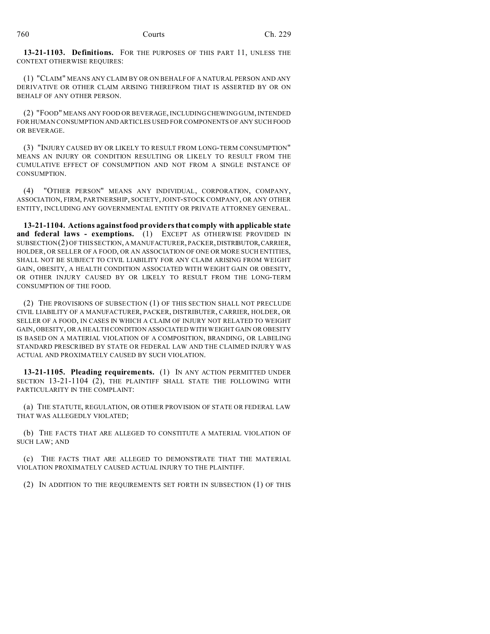**13-21-1103. Definitions.** FOR THE PURPOSES OF THIS PART 11, UNLESS THE CONTEXT OTHERWISE REQUIRES:

(1) "CLAIM" MEANS ANY CLAIM BY OR ON BEHALF OF A NATURAL PERSON AND ANY DERIVATIVE OR OTHER CLAIM ARISING THEREFROM THAT IS ASSERTED BY OR ON BEHALF OF ANY OTHER PERSON.

(2) "FOOD" MEANS ANY FOOD OR BEVERAGE, INCLUDING CHEWING GUM, INTENDED FOR HUMAN CONSUMPTION AND ARTICLES USED FOR COMPONENTS OF ANY SUCH FOOD OR BEVERAGE.

(3) "INJURY CAUSED BY OR LIKELY TO RESULT FROM LONG-TERM CONSUMPTION" MEANS AN INJURY OR CONDITION RESULTING OR LIKELY TO RESULT FROM THE CUMULATIVE EFFECT OF CONSUMPTION AND NOT FROM A SINGLE INSTANCE OF CONSUMPTION.

(4) "OTHER PERSON" MEANS ANY INDIVIDUAL, CORPORATION, COMPANY, ASSOCIATION, FIRM, PARTNERSHIP, SOCIETY, JOINT-STOCK COMPANY, OR ANY OTHER ENTITY, INCLUDING ANY GOVERNMENTAL ENTITY OR PRIVATE ATTORNEY GENERAL.

**13-21-1104. Actions against food providers that comply with applicable state and federal laws - exemptions.** (1) EXCEPT AS OTHERWISE PROVIDED IN SUBSECTION(2) OF THIS SECTION, A MANUFACTURER, PACKER,DISTRIBUTOR,CARRIER, HOLDER, OR SELLER OF A FOOD, OR AN ASSOCIATION OF ONE OR MORE SUCH ENTITIES, SHALL NOT BE SUBJECT TO CIVIL LIABILITY FOR ANY CLAIM ARISING FROM WEIGHT GAIN, OBESITY, A HEALTH CONDITION ASSOCIATED WITH WEIGHT GAIN OR OBESITY, OR OTHER INJURY CAUSED BY OR LIKELY TO RESULT FROM THE LONG-TERM CONSUMPTION OF THE FOOD.

(2) THE PROVISIONS OF SUBSECTION (1) OF THIS SECTION SHALL NOT PRECLUDE CIVIL LIABILITY OF A MANUFACTURER, PACKER, DISTRIBUTER, CARRIER, HOLDER, OR SELLER OF A FOOD, IN CASES IN WHICH A CLAIM OF INJURY NOT RELATED TO WEIGHT GAIN, OBESITY, OR A HEALTH CONDITION ASSOCIATED WITH WEIGHT GAIN OR OBESITY IS BASED ON A MATERIAL VIOLATION OF A COMPOSITION, BRANDING, OR LABELING STANDARD PRESCRIBED BY STATE OR FEDERAL LAW AND THE CLAIMED INJURY WAS ACTUAL AND PROXIMATELY CAUSED BY SUCH VIOLATION.

**13-21-1105. Pleading requirements.** (1) IN ANY ACTION PERMITTED UNDER SECTION 13-21-1104 (2), THE PLAINTIFF SHALL STATE THE FOLLOWING WITH PARTICULARITY IN THE COMPLAINT:

(a) THE STATUTE, REGULATION, OR OTHER PROVISION OF STATE OR FEDERAL LAW THAT WAS ALLEGEDLY VIOLATED;

(b) THE FACTS THAT ARE ALLEGED TO CONSTITUTE A MATERIAL VIOLATION OF SUCH LAW; AND

(c) THE FACTS THAT ARE ALLEGED TO DEMONSTRATE THAT THE MATERIAL VIOLATION PROXIMATELY CAUSED ACTUAL INJURY TO THE PLAINTIFF.

(2) IN ADDITION TO THE REQUIREMENTS SET FORTH IN SUBSECTION (1) OF THIS